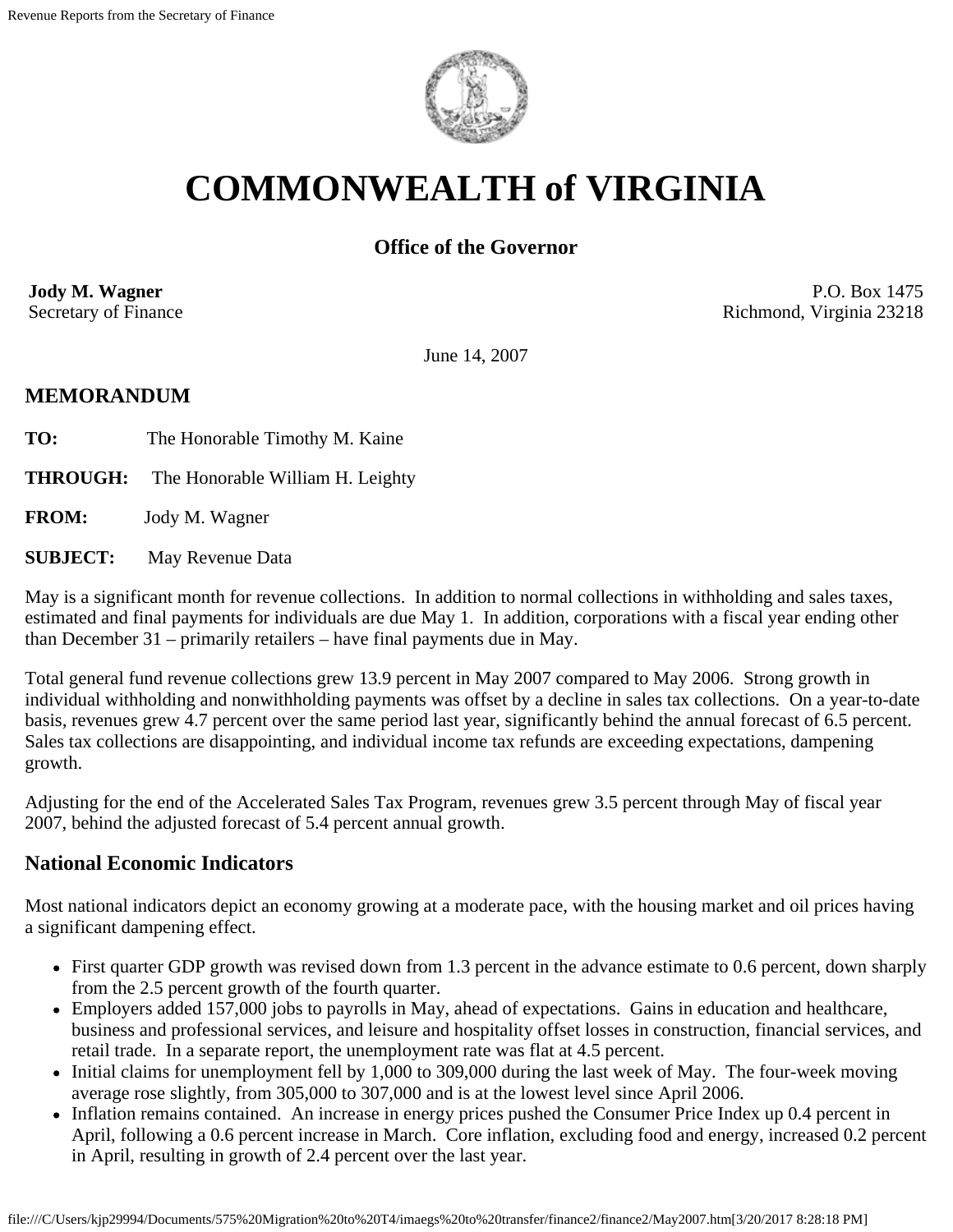

# **COMMONWEALTH of VIRGINIA**

## **Office of the Governor**

**Jody M. Wagner**  Secretary of Finance

P.O. Box 1475 Richmond, Virginia 23218

June 14, 2007

#### **MEMORANDUM**

- **TO:** The Honorable Timothy M. Kaine
- **THROUGH:** The Honorable William H. Leighty

**FROM:** Jody M. Wagner

**SUBJECT:** May Revenue Data

May is a significant month for revenue collections. In addition to normal collections in withholding and sales taxes, estimated and final payments for individuals are due May 1. In addition, corporations with a fiscal year ending other than December 31 – primarily retailers – have final payments due in May.

Total general fund revenue collections grew 13.9 percent in May 2007 compared to May 2006. Strong growth in individual withholding and nonwithholding payments was offset by a decline in sales tax collections. On a year-to-date basis, revenues grew 4.7 percent over the same period last year, significantly behind the annual forecast of 6.5 percent. Sales tax collections are disappointing, and individual income tax refunds are exceeding expectations, dampening growth.

Adjusting for the end of the Accelerated Sales Tax Program, revenues grew 3.5 percent through May of fiscal year 2007, behind the adjusted forecast of 5.4 percent annual growth.

## **National Economic Indicators**

Most national indicators depict an economy growing at a moderate pace, with the housing market and oil prices having a significant dampening effect.

- First quarter GDP growth was revised down from 1.3 percent in the advance estimate to 0.6 percent, down sharply from the 2.5 percent growth of the fourth quarter.
- Employers added 157,000 jobs to payrolls in May, ahead of expectations. Gains in education and healthcare, business and professional services, and leisure and hospitality offset losses in construction, financial services, and retail trade. In a separate report, the unemployment rate was flat at 4.5 percent.
- Initial claims for unemployment fell by 1,000 to 309,000 during the last week of May. The four-week moving average rose slightly, from 305,000 to 307,000 and is at the lowest level since April 2006.
- Inflation remains contained. An increase in energy prices pushed the Consumer Price Index up 0.4 percent in April, following a 0.6 percent increase in March. Core inflation, excluding food and energy, increased 0.2 percent in April, resulting in growth of 2.4 percent over the last year.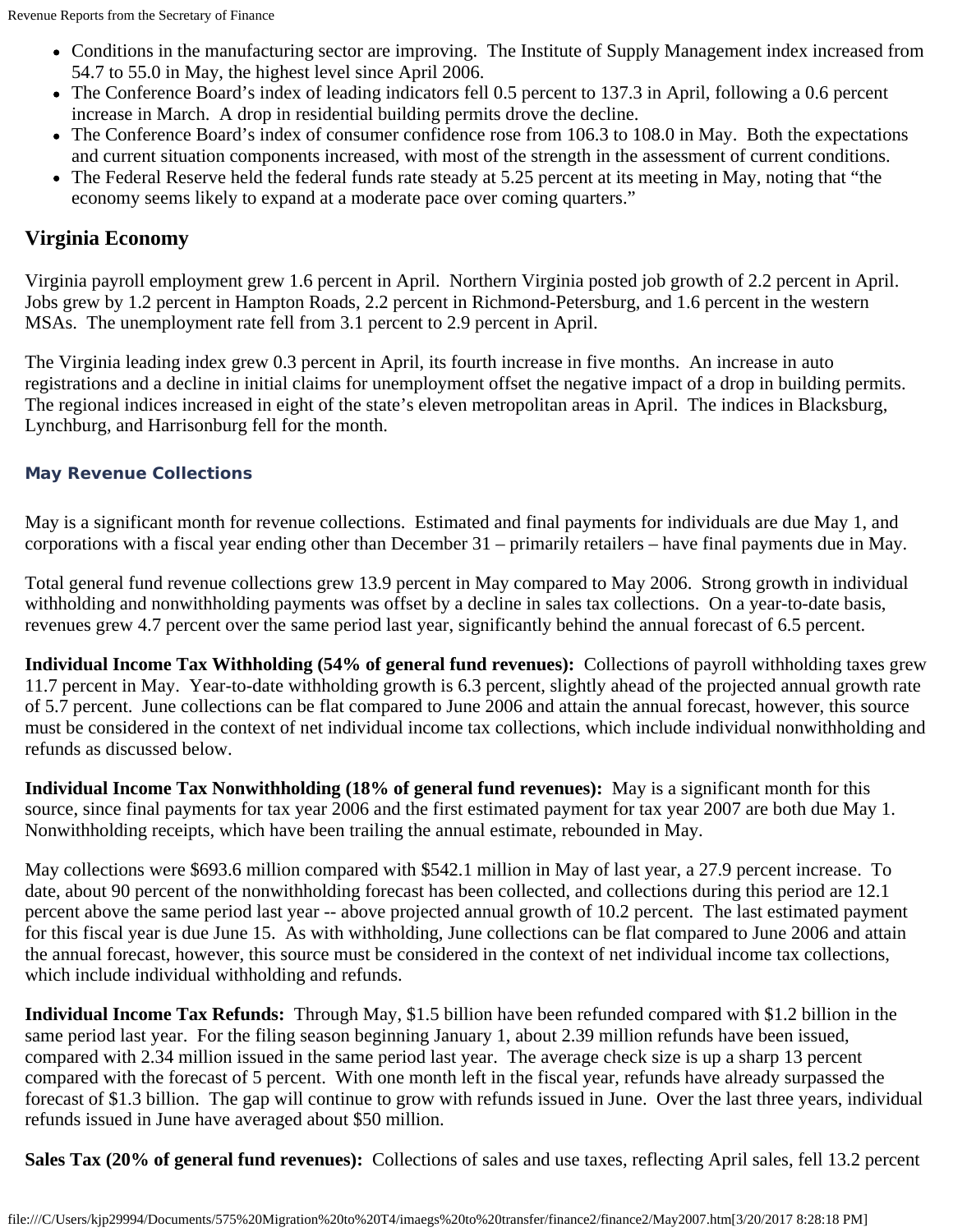- Conditions in the manufacturing sector are improving. The Institute of Supply Management index increased from 54.7 to 55.0 in May, the highest level since April 2006.
- The Conference Board's index of leading indicators fell 0.5 percent to 137.3 in April, following a 0.6 percent increase in March. A drop in residential building permits drove the decline.
- The Conference Board's index of consumer confidence rose from 106.3 to 108.0 in May. Both the expectations and current situation components increased, with most of the strength in the assessment of current conditions.
- The Federal Reserve held the federal funds rate steady at 5.25 percent at its meeting in May, noting that "the economy seems likely to expand at a moderate pace over coming quarters."

## **Virginia Economy**

Virginia payroll employment grew 1.6 percent in April. Northern Virginia posted job growth of 2.2 percent in April. Jobs grew by 1.2 percent in Hampton Roads, 2.2 percent in Richmond-Petersburg, and 1.6 percent in the western MSAs. The unemployment rate fell from 3.1 percent to 2.9 percent in April.

The Virginia leading index grew 0.3 percent in April, its fourth increase in five months. An increase in auto registrations and a decline in initial claims for unemployment offset the negative impact of a drop in building permits. The regional indices increased in eight of the state's eleven metropolitan areas in April. The indices in Blacksburg, Lynchburg, and Harrisonburg fell for the month.

#### **May Revenue Collections**

May is a significant month for revenue collections. Estimated and final payments for individuals are due May 1, and corporations with a fiscal year ending other than December 31 – primarily retailers – have final payments due in May.

Total general fund revenue collections grew 13.9 percent in May compared to May 2006. Strong growth in individual withholding and nonwithholding payments was offset by a decline in sales tax collections. On a year-to-date basis, revenues grew 4.7 percent over the same period last year, significantly behind the annual forecast of 6.5 percent.

**Individual Income Tax Withholding (54% of general fund revenues):** Collections of payroll withholding taxes grew 11.7 percent in May. Year-to-date withholding growth is 6.3 percent, slightly ahead of the projected annual growth rate of 5.7 percent. June collections can be flat compared to June 2006 and attain the annual forecast, however, this source must be considered in the context of net individual income tax collections, which include individual nonwithholding and refunds as discussed below.

**Individual Income Tax Nonwithholding (18% of general fund revenues):** May is a significant month for this source, since final payments for tax year 2006 and the first estimated payment for tax year 2007 are both due May 1. Nonwithholding receipts, which have been trailing the annual estimate, rebounded in May.

May collections were \$693.6 million compared with \$542.1 million in May of last year, a 27.9 percent increase. To date, about 90 percent of the nonwithholding forecast has been collected, and collections during this period are 12.1 percent above the same period last year -- above projected annual growth of 10.2 percent. The last estimated payment for this fiscal year is due June 15. As with withholding, June collections can be flat compared to June 2006 and attain the annual forecast, however, this source must be considered in the context of net individual income tax collections, which include individual withholding and refunds.

**Individual Income Tax Refunds:** Through May, \$1.5 billion have been refunded compared with \$1.2 billion in the same period last year. For the filing season beginning January 1, about 2.39 million refunds have been issued, compared with 2.34 million issued in the same period last year. The average check size is up a sharp 13 percent compared with the forecast of 5 percent. With one month left in the fiscal year, refunds have already surpassed the forecast of \$1.3 billion. The gap will continue to grow with refunds issued in June. Over the last three years, individual refunds issued in June have averaged about \$50 million.

**Sales Tax (20% of general fund revenues):** Collections of sales and use taxes, reflecting April sales, fell 13.2 percent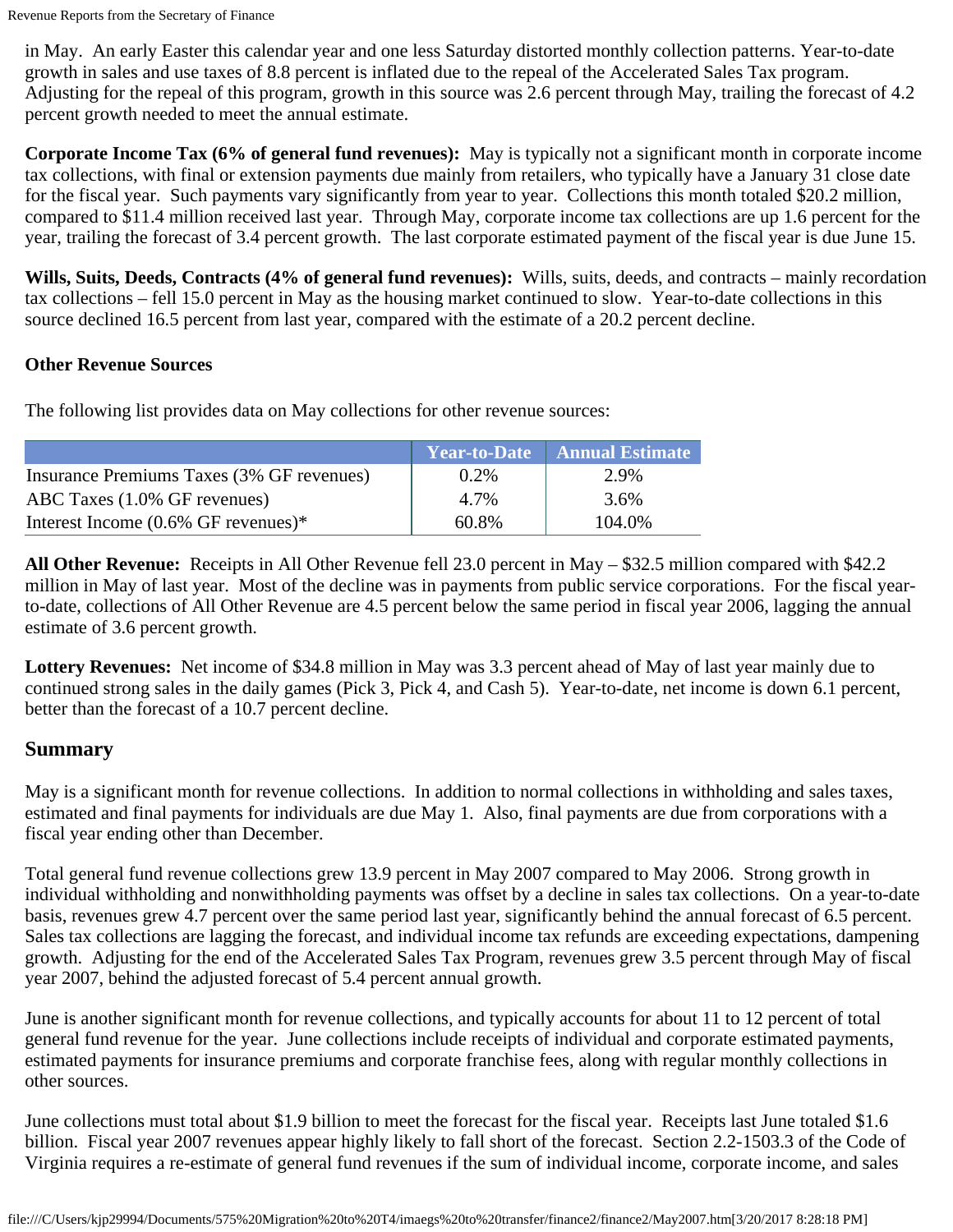in May. An early Easter this calendar year and one less Saturday distorted monthly collection patterns. Year-to-date growth in sales and use taxes of 8.8 percent is inflated due to the repeal of the Accelerated Sales Tax program. Adjusting for the repeal of this program, growth in this source was 2.6 percent through May, trailing the forecast of 4.2 percent growth needed to meet the annual estimate.

**Corporate Income Tax (6% of general fund revenues):** May is typically not a significant month in corporate income tax collections, with final or extension payments due mainly from retailers, who typically have a January 31 close date for the fiscal year. Such payments vary significantly from year to year. Collections this month totaled \$20.2 million, compared to \$11.4 million received last year. Through May, corporate income tax collections are up 1.6 percent for the year, trailing the forecast of 3.4 percent growth. The last corporate estimated payment of the fiscal year is due June 15.

**Wills, Suits, Deeds, Contracts (4% of general fund revenues):** Wills, suits, deeds, and contracts – mainly recordation tax collections – fell 15.0 percent in May as the housing market continued to slow. Year-to-date collections in this source declined 16.5 percent from last year, compared with the estimate of a 20.2 percent decline.

#### **Other Revenue Sources**

The following list provides data on May collections for other revenue sources:

|                                           |         | $\overline{\phantom{a}}$ Year-to-Date $\overline{\phantom{a}}$ Annual Estimate |
|-------------------------------------------|---------|--------------------------------------------------------------------------------|
| Insurance Premiums Taxes (3% GF revenues) | $0.2\%$ | 2.9%                                                                           |
| ABC Taxes (1.0% GF revenues)              | 4.7%    | 3.6%                                                                           |
| Interest Income $(0.6\%$ GF revenues)*    | 60.8%   | 104.0%                                                                         |

**All Other Revenue:** Receipts in All Other Revenue fell 23.0 percent in May – \$32.5 million compared with \$42.2 million in May of last year. Most of the decline was in payments from public service corporations. For the fiscal yearto-date, collections of All Other Revenue are 4.5 percent below the same period in fiscal year 2006, lagging the annual estimate of 3.6 percent growth.

**Lottery Revenues:** Net income of \$34.8 million in May was 3.3 percent ahead of May of last year mainly due to continued strong sales in the daily games (Pick 3, Pick 4, and Cash 5). Year-to-date, net income is down 6.1 percent, better than the forecast of a 10.7 percent decline.

## **Summary**

May is a significant month for revenue collections. In addition to normal collections in withholding and sales taxes, estimated and final payments for individuals are due May 1. Also, final payments are due from corporations with a fiscal year ending other than December.

Total general fund revenue collections grew 13.9 percent in May 2007 compared to May 2006. Strong growth in individual withholding and nonwithholding payments was offset by a decline in sales tax collections. On a year-to-date basis, revenues grew 4.7 percent over the same period last year, significantly behind the annual forecast of 6.5 percent. Sales tax collections are lagging the forecast, and individual income tax refunds are exceeding expectations, dampening growth. Adjusting for the end of the Accelerated Sales Tax Program, revenues grew 3.5 percent through May of fiscal year 2007, behind the adjusted forecast of 5.4 percent annual growth.

June is another significant month for revenue collections, and typically accounts for about 11 to 12 percent of total general fund revenue for the year. June collections include receipts of individual and corporate estimated payments, estimated payments for insurance premiums and corporate franchise fees, along with regular monthly collections in other sources.

June collections must total about \$1.9 billion to meet the forecast for the fiscal year. Receipts last June totaled \$1.6 billion. Fiscal year 2007 revenues appear highly likely to fall short of the forecast. Section 2.2-1503.3 of the Code of Virginia requires a re-estimate of general fund revenues if the sum of individual income, corporate income, and sales